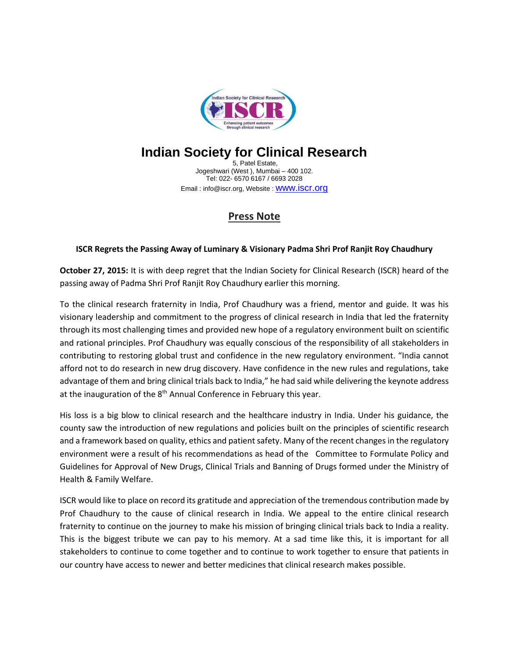

## **Indian Society for Clinical Research**

5, Patel Estate, Jogeshwari (West ), Mumbai – 400 102. Tel: 022- 6570 6167 / 6693 2028 Email: info@iscr.org, Website : **WWW.iSCI.Org** 

## **Press Note**

## **ISCR Regrets the Passing Away of Luminary & Visionary Padma Shri Prof Ranjit Roy Chaudhury**

**October 27, 2015:** It is with deep regret that the Indian Society for Clinical Research (ISCR) heard of the passing away of Padma Shri Prof Ranjit Roy Chaudhury earlier this morning.

To the clinical research fraternity in India, Prof Chaudhury was a friend, mentor and guide. It was his visionary leadership and commitment to the progress of clinical research in India that led the fraternity through its most challenging times and provided new hope of a regulatory environment built on scientific and rational principles. Prof Chaudhury was equally conscious of the responsibility of all stakeholders in contributing to restoring global trust and confidence in the new regulatory environment. "India cannot afford not to do research in new drug discovery. Have confidence in the new rules and regulations, take advantage of them and bring clinical trials back to India," he had said while delivering the keynote address at the inauguration of the  $8<sup>th</sup>$  Annual Conference in February this year.

His loss is a big blow to clinical research and the healthcare industry in India. Under his guidance, the county saw the introduction of new regulations and policies built on the principles of scientific research and a framework based on quality, ethics and patient safety. Many of the recent changes in the regulatory environment were a result of his recommendations as head of the Committee to Formulate Policy and Guidelines for Approval of New Drugs, Clinical Trials and Banning of Drugs formed under the Ministry of Health & Family Welfare.

ISCR would like to place on record its gratitude and appreciation of the tremendous contribution made by Prof Chaudhury to the cause of clinical research in India. We appeal to the entire clinical research fraternity to continue on the journey to make his mission of bringing clinical trials back to India a reality. This is the biggest tribute we can pay to his memory. At a sad time like this, it is important for all stakeholders to continue to come together and to continue to work together to ensure that patients in our country have access to newer and better medicines that clinical research makes possible.